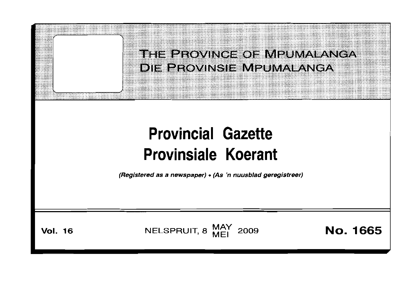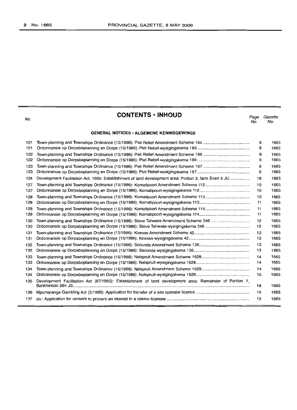| ۹<br>-<br>÷<br>٠ |
|------------------|

# **CONTENTS • INHOLJD**

*Page Gazette* No. No.

#### **GENERAL NOTICES· ALGEMENE KENNISGEWINGS**

| 121 |                                                                                                         | 8  | 1665 |
|-----|---------------------------------------------------------------------------------------------------------|----|------|
| 121 |                                                                                                         | 8  | 1665 |
| 122 |                                                                                                         | 8  | 1665 |
| 122 |                                                                                                         | 9  | 1665 |
| 123 |                                                                                                         | 9  | 1665 |
| 123 |                                                                                                         | 9  | 1665 |
| 124 | Development Facilitation Act, 1995: Establishment of land development area: Portion 3, farm Evert 5 JU  | 16 | 1665 |
| 127 |                                                                                                         | 10 | 1665 |
| 127 |                                                                                                         | 10 | 1665 |
| 128 |                                                                                                         | 10 | 1665 |
| 128 |                                                                                                         | 11 | 1665 |
| 129 |                                                                                                         | 11 | 1665 |
| 129 |                                                                                                         | 11 | 1665 |
| 130 | Town-planning and Townships Ordinance (15/1986): Steve Tshwete Amendment Scheme 346                     | 12 | 1665 |
| 130 |                                                                                                         | 12 | 1665 |
| 131 |                                                                                                         | 12 | 1665 |
| 131 |                                                                                                         | 13 | 1665 |
| 132 |                                                                                                         | 13 | 1665 |
| 132 |                                                                                                         | 13 | 1665 |
| 133 |                                                                                                         | 14 | 1665 |
| 133 |                                                                                                         | 14 | 1665 |
| 134 |                                                                                                         | 14 | 1665 |
| 134 |                                                                                                         | 15 | 1665 |
| 135 | Development Facilitation Act (67/1995): Establishment of land development area: Remainder of Portion 7, | 18 | 1665 |
| 136 |                                                                                                         | 15 | 1665 |
| 137 |                                                                                                         | 15 | 1665 |
|     |                                                                                                         |    |      |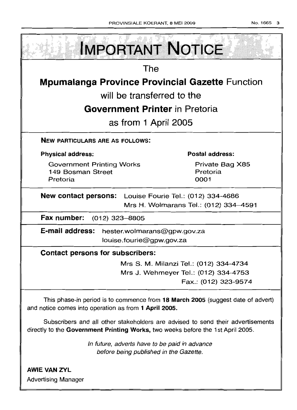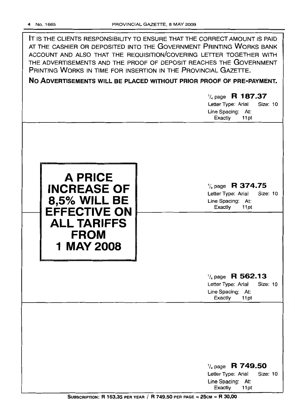IT IS THE CLIENTS RESPONSIBILITY TO ENSURE THAT THE CORRECT AMOUNT IS PAID AT THE CASHIER OR DEPOSITED INTO THE GOVERNMENT PRINTING WORKS BANK ACCOUNT AND ALSO THAT THE REQUISITION/COVERING LETTER TOGETHER WITH THE ADVERTISEMENTS AND THE PROOF OF DEPOSIT REACHES THE GOVERNMENT PRINTING WORKS IN TIME FOR INSERTION IN THE PROVINCIAL GAZETTE.

No ADVERTISEMENTS WILL BE PLACED WITHOUT PRIOR PROOF OF PRE-PAYMENT.

# $\frac{1}{4}$  page R 187.37

Letter Type: Arial Size: 10 Line Spacing: At: Exactly 11 pt



 $\frac{1}{4}$  page R 374.75

Letter Type: Arial Size: 10 Line Spacing: At: Exactly 11 pt

## $\frac{1}{4}$  page R 562.13

Letter Type: Arial Size: 10 Line Spacing: At: Exactly 11 pt

## $\frac{1}{4}$  page R 749.50 Letter Type: Arial Size: 10 Line Spacing: At: Exactly 11pt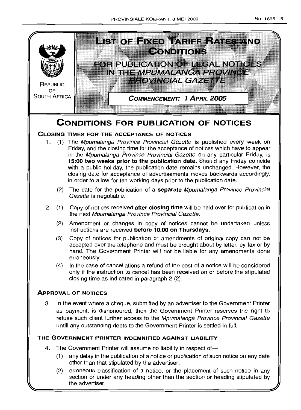

(2) erroneous classification of a notice, or the placement of such notice in any section or under any heading other than the section or heading stipulated by the advertiser;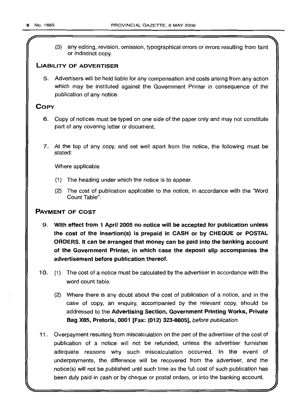*r*

(3) any editing, revision, omission, typographical errors or errors resulting from faint or indistinct copy.

### **LIABILITY OF ADVERTISER**

5. Advertisers will be held liable for any compensation and costs arising from any action which may be instituted against the Government Printer in consequence of the publication of any notice.

### **COpy**

- 6. Copy of notices must be typed on one side of the paper only and may not constitute part of any covering letter or document.
- 7. At the top of any copy, and set well apart from the notice, the following must be stated:

Where applicable

- (1) The heading under which the notice is to appear.
- (2) The cost of publication applicable to the notice, in accordance with the "Word Count Table".

### **PAYMENT OF COST**

- 9. **With effect from 1 April 2005 no notice will be accepted for publication unless the cost of the insertion(s) is prepaid in CASH or by CHEQUE or POSTAL ORDERS. It can be arranged that money can be paid into the banking account of the Government Printer, in which case the deposit slip accompanies the advertisement before publication thereof.**
- 10. (1) The cost of a notice must be calculated by the advertiser in accordance with the word count table.
	- (2) Where there is any doubt about the cost of publication of a notice, and in the case of copy, an enquiry, accompanied by the relevant copy, should be addressed to the **Advertising Section, Government Printing Works, Private Bag X85, Pretoria, 0001 [Fax: (012) 323-8805],** before publication.
- **11.** Overpayment resulting from miscalculation on the part of the advertiser of the cost of publication of a notice will not be refunded, unless the advertiser furnishes adequate reasons why such miscalculation occurred. **In** the event of underpayments, the difference will be recovered from the advertiser, and the notice(s) will not be published until such time as the full cost of such publication has been duly paid in cash or by cheque or postal orders, or into the banking account.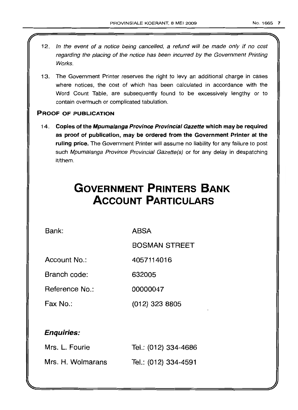- 12. In the event of a notice being cancelled, a refund will be made only if no cost regarding the placing of the notice has been incurred by the Government Printing **Works**
- 13. The Government Printer reserves the right to levy an additional charge in cases where notices, the cost of which has been calculated in accordance with the Word Count Table, are subsequently found to be excessively lengthy or to contain overmuch or complicated tabulation.

### PROOF OF PUBLICATION

14. Copies of the Mpumalanga Province Provincial Gazette which may be required as proof of publication, may be ordered from the Government Printer at the ruling price. The Government Printer will assume no liability for any failure to post such Mpumalanga Province Provincial Gazette(s) or for any delay in despatching it/them.

# **GOVERNMENT PRINTERS BANK ACCOUNT PARTICULARS**

Bank: ABSA

BOSMAN STREET

Account No.: 4057114016

Branch code: 632005

Reference No.: 00000047

Fax No.: (012) 323 8805

# Enquiries:

| Mrs. L. Fourie    | Tel.: (012) 334-4686 |
|-------------------|----------------------|
| Mrs. H. Wolmarans | Tel.: (012) 334-4591 |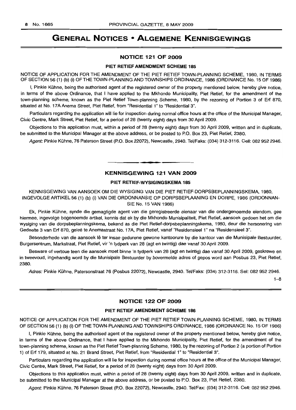# GENERAL NOTICES • ALGEMENE KENNISGEWINGS

#### NOTICE 121 OF 2009

#### PIET RETIEF AMENDMENT SCHEME 185

NOTICE OF APPLICATION FOR THE AMENDMENT OF THE PIET RETIEF TOWN-PLANNING SCHEME, 1980, IN TERMS OF SECTION 56 (1) (b) (i) OF THE TOWN-PLANNING AND TOWNSHIPS ORDINANCE, 1986 (ORDINANCE No. 15 OF 1986)

I, Pinkie Kühne, being the authorised agent of the registered owner of the property mentioned below, hereby give notice, in terms of the above Ordinance, that I have applied to the Mkhondo Municipality, Piet Retief, for the amendment of the town-planning scheme, known as the Piet Retief Town-planning Scheme, 1980, by the rezoning of Portion 3 of Erf 870, situated at No. 17A Anema Street, Piet Retief, from "Residential 1" to "Residential 3".

Particulars regarding the application will lie for inspection during normal office hours at the office of the Municipal Manager, Civic Centre, Mark Street, Piet Retief, for a period of 28 (twenty eight) days from 30 April 2009.

Objections to this application must, within a period of 28 (twenty eight) days from 30 April 2009, written and in duplicate, be submitted to the Municipal Manager at the above address, or be posted to P.O. Box 23, Piet Retief, 2380.

Agent: Pinkie Kühne, 76 Paterson Street (P.O. Box 22072), Newcastle, 2940. Tel/Faks: (034) 312-3116. Cell: 082 952 2946.

#### KENNISGEWING 121 VAN 2009

**•**

#### PIET RETIEF-WYSIGINGSKEMA 185

KENNISGEWING VAN AANSOEK OM DIE WYSIGING VAN DIE PIET RETIEF-DORPSBEPLANNINGSKEMA, 1980, lNGEVOLGE ARTIKEL 56 (1) (b) (i) VAN DIE ORDONNANSIE OP DORPSBEPLAANING EN DORPE, 1986 (ORDONNAN-SIE No. 15 VAN 1986)

Ek, Pinkie Kuhne, synde die gemagtigde agent van die geregistreerde eienaar van die ondergenoemde eiendom, gee hiermee, ingevolge bogenoemde artikel, kennis dat ek by die Mkhondo Munisipaliteit, Piet Retief, aansoek gedoen het om die wysiging van die dorpsbeplanningskema, bekend as die Piet Retief-dorpsbeplanningskema, 1980, deur die hersonering van Gedeelte 3 van Erf 870, geleë te Anemastraat No. 17A, Piet Retief, vanaf "Residensieel 1" na "Residensieel 3".

Besonderhede van die aansoek lê ter insae gedurene gewone kantoorure by die kantoor van die Munisipale Bestuurder, Burgersentrum, Markstraat, Piet Retief, vir 'n tydperk van 28 (agt en twintig) dae vanaf 30 April 2009.

Besware of vertoue teen die aansoek moet binne 'n tydperk van 28 (agt en twintig) dae vanaf 30 April 2009, geskrewe en in tweevoud, ingehandig word by die Munisipale Bestuurder by bovermelde adres of gepos word aan Posbus 23, Piet Retief, 2380.

Adres: Pinkie Kühne, Patersonstraat 76 (Posbus 22072), Newcastle, 2940. Tel/Faks: (034) 312-3116. Sel: 082 952 2946.

1-8

#### NOTICE 122 OF 2009

#### PIET RETIEF AMENDMENT SCHEME 186

NOTICE OF APPLICATION FOR THE AMENDMENT OF THE PIET RETIEF TOWN-PLANNING SCHEME, 1980, IN TERMS OF SECTION 56 (1) (b) (i) OF THE TOWN-PLANNING AND TOWNSHIPS ORDINANCE, 1986 (ORDINANCE No. 15 OF 1986)

I, Pinkie Kuhne, being the authorised agent of the registered owner of the property mentioned below, hereby give notice, in terms of the above Ordinance, that I have applied to the Mkhondo Municipality, Piet Retief, for the amendment of the town-planning scheme, known as the Piet Retief Town-planning Scheme, 1980, by the rezoning of Portion 2 (a portion of Portion 1) of Erf 179, situated at No. 21 Brand Street, Piet Retief, from "Residential 1" to "Residential 3".

Particulars regarding the application will lie for inspection during normal office hours at the office of the Municipal Manager, Civic Centre, Mark Street, Piet Retief, for a period of 28 (twenty eight) days from 30 April 2009.

Objections to this application must, within a period of 28 (twenty eight) days from 30 April 2009, written and in duplicate, be submitted to the Municipal Manager at the above address, or be posted to P.O. Box 23, Piet Retief, 2380.

Agent: Pinkie Kuhne, 76 Paterson Street (P.O. Box 22072), Newcastle, 2940. Tel/Fax: (034) 312-3116. Cell: 0829522946.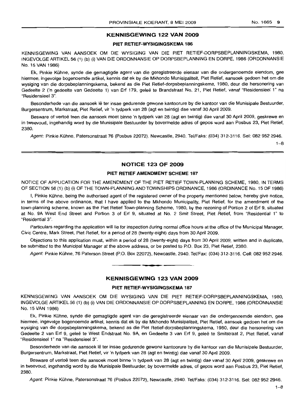### **KENNISGEWING 122 VAN 2009**

#### **PIET RETIEF-WYSIGINGSKEMA 186**

KENNISGEWING VAN AANSOEK OM DIE WYSIGING VAN DIE PIET RETIEF-DORPSBEPLANNINGSKEMA, 1980, INGEVOLGE ARTIKEL 56 (1) (b) (i) VAN DIE ORDONNANSIE OP DORPSBEPLANNING EN DORPE, 1986 (ORDONNANSIE No. 15 VAN 1986)

Ek, Pinkie Kuhne, synde die gemagtigde agent van die geregistreerde eienaar van die ondergenoemde eiendom, gee hiermee, ingevolge bogenoemde artikel, kennis dat ek by die Mkhondo Munisipaliteit, Piet Retief, aansoek gedoen het om die wysiging van die dorpsbeplanningskema, bekend as die Piet Retief-dorpsbeplanningskema, 1980, deur die hersonering van Gedeelte 2 ('n gedeelte van Gedeelte 1) van Erf 179, geleë te Brandstraat No. 21, Piet Retief, vanaf "Residensieel 1" na "Residensieel 3".

Besonderhede van die aansoek lê ter insae gedurende gewone kantoorure by die kantoor van die Munisipale Bestuurder, Burgersentrum, Markstraat, Piet Retief, vir 'n tydperk van 28 (agt en twintiq) dae vanaf 30 April 2009.

Besware of vertoë teen die aansoek moet binne 'n tydperk van 28 (aqt en twintig) dae vanaf 30 April 2009, geskrewe en in tweevoud, ingehandig word by die Munisipale Bestuurder by bovermelde adres of gepos word aan Posbus 23, Piet Retief, 2380.

Agent: Pinkie Kuhne, Patersonstraat 76 (Posbus 22072), Newcastle, 2940. Tel/Faks: (034) 312-3116. Sel: 0829522946.

 $1 - 8$ 

#### **NOTICE 123 OF 2009**

#### **PIET RETIEF AMENDMENT SCHEME 187**

NOTICE OF APPLICATION FOR THE AMENDMENT OF THE PIET RETIEF TOWN-PLANNING SCHEME, 1980, IN TERMS OF SECTION 56 (1) (b) (i) OF THE TOWN-PLANNING AND TOWNSHIPS ORDINANCE, 1986 (ORDINANCE No. 15 OF 1986)

I, Pinkie Kuhne, being the authorised agent of the registered owner of the property mentioned below, hereby give notice, in terms of the above ordinance, that I have applied to the Mkhondo Municipality, Piet Retief, for the amendment of the town-planning scheme, known as the Piet Retief Town-planning Scheme, 1980, by the rezoning of Portion 2 of Erf 9, situated at No. 9A West End Street and Portion 3 of Erf 9, situated at No. 2 Smit Street, Piet Retief, from "Residential 1" to "Residential 3".

Particulars regarding the application will lie for inspection during normal office hours at the office of the Municipal Manager, Civic Centre, Mark Street, Piet Retief, for a period of 28 (twenty-eight) days from 30 April 2009.

Objections to this application must, within a period of 28 (twenty-eight) days from 30 April 2009, written and in duplicate, be submitted to the Municipal Manager at the above address, or be posted to P.O. Box 23, Piet Retief, 2380.

Agent: Pinkie Kuhne, 76 Paterson Street (P.O. Box 22072), Newcastle, 2940. Tel/Fax: (034) 312-3116. Cell: 0829522946.

#### **KENNISGEWING 123 VAN 2009**

• **- I**

#### **PIET RETIEF-WYSIGINGSKEMA 187**

KENNISGEWING VAN AANSOEK OM DIE WYSIGING VAN DIE PIET RETIEF-DORPSBEPLANNINGSKEMA, 1980, INGEVOLGE ARTIKEL 56 (1) (b) (i) VAN DIE ORDONNANSIE OP DORPSBEPLANNING EN DORPE, 1986 (ORDONNANSIE No. 15 VAN 1986)

Ek, Pinkie Kuhne, synde die gemagtigde agent van die geregistreerde eienaar van die ondergenoemde eiendom, gee hiermee, ingevolge bogenoemde artikel, kennis dat ek by die Mkhondo Munisipaliteit, Piet Retief, aansoek gedoen het om die wysiging van die dorpsbeplanningskema, bekend as die Piet Retief-dorpsbeplanningskema, 1980, deur die hersonering van Gedeelte 2 van Erf 9, gelee te West Endstraat No. 9A, en Gedeelte 3 van Erf 9, gelee te Smitstraat 2, Piet Retief, vanaf "Residensieel 1" na "Residensieel 3".

Besonderhede van die aansoek lê ter insae gedurende gewone kantoorure by die kantoor van die Munisipale Bestuurder, Burgersentrum, Markstraat, Piet Retief, vir 'n tydperk van 28 (agt en twintig) dae vanaf 30 April 2009.

Besware of vertoe teen die aansoek moet binne 'n tydperk van 28 (agt en twintig) dae vanaf 30 April 2009, geskrewe en in tweevoud, ingehandig word by die Munisipale Bestuurder, by bovermelde adres, of gepos word aan Posbus 23, Piet Retief, 2380.

Agent: Pinkie Kuhne, Patersonstraat 76 (Posbus 22072), Newcastle, 2940. Tel/Faks: (034) 312-3116. Sel: 0829522946.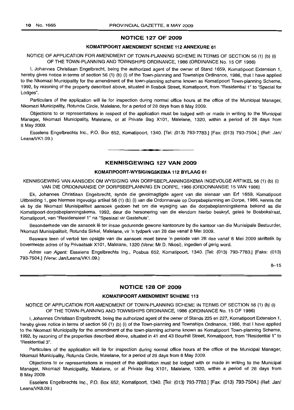#### NOTICE 127 OF 2009

#### KOMATIPOORT AMENDMENT SCHEME 112 ANNEXURE 61

NOTICE OF APPLICATION FOR AMENDMENT OF TOWN-PLANNING SCHEME IN TERMS OF SECTION 56 (1) (b) (i) OF THE TOWN-PLANNING AND TOWNSHIPS ORDINANCE, 1986 (ORDINANCE No. 15 OF 1986)

I, Johannes Christiaan Engelbrecht, being the authorized agent of the owner of Stand 1659, Komatipoort Extension 1, hereby gives notice in terms of section 56 (1) (b) (i) of the Town-planning and Townships Ordinance, 1986, that I have applied to the Nkomazi Municipality for the amendment of the town-planning scheme known as Komatipoort Town-planning Scheme, 1992, by rezoning of the property described above, situated in Bosbok Street, Komatipoort, from "Residential 1" to "Special for Lodges".

Particulars of the application will lie for inspection during normal office hours at the office of the Municipal Manager, Nkomazi Municipality, Rotunda Circle, Malelane, for a period of 28 days from 8 May 2009.

Objections to or representations in respect of the application must be lodged with or made in writing to the Municipal Manager, Nkomazi Municipality, Malelane, or at Private Bag X101, Malelane, 1320, within a period of 28 days from 8 May 2009.

Esselens Engelbrechts Inc., P.O. Box 652, Komatipoort, 1340. [Tel: (013) 793-7783.] [Fax: (013) 793-7504.] (Ref: Jan! Leana/VK1.09.) . ,

#### KENNISGEWING 127 VAN 2009

#### KOMATIPOORT-WYSIGINGSKEMA 112 BYLAAG 61

KENNISGEWING VAN AANSOEK OM WYSIGING VAN DORPSBEPLANNINGSKEMA INGEVOLGE ARTIKEL 56 (1) (b) (i) VAN DIE ORDONNANSIE OP DORPSBEPLANNING EN DORPE, 1986 (ORDONNANSIE 15 VAN 1986)

Ek, Johannes Christiaan Engelbrecht, synde die gevolmagtigde agent van die eienaar van Erf 1659, Komatipoort Uitbreiding 1, gee hiermee ingevolge artikel 56 (1) (b) (i) van die Ordonnansie op Dorpsbeplanning en Dorpe, 1986, kennis dat ek by die Nkomazi Munisipaliteit aansoek gedoen het om die wysiging van die dorpsbeplanningskema bekend as die Komatipoort-dorpsbeplanningskema, 1992, deur die hersonering van die eiendom hierbo beskryf, gelee te Bosbokstraat, Komatipoort, van "Residensieel 1" na "Spesiaal vir Gastehuis".

Besonderhede van die aansoek lê ter insae gedurende gewone kantoorure by die kantoor van die Munisipale Bestuurder, Nkomazi Munisipaliteit, Rotunda Sirkel, Malelane, vir 'n tydperk van 28 dae vanaf 8 Mei 2009.

Besware teen of vertoe ten opsigte van die aansoek moet binne 'n periode van 28 dae vanaf 8 Mei 2009 skriftelik by bovermelde adres of by Privaatsak X101, Malelane, 1320 (Verw: Mr D. Nkosi), ingedien of gerig word.

Adres van Agent: Esselens Engelbrechts Ing., Posbus 652, Komatipoort, 1340. [Tel: (013) 793-7783.] [Faks: (013) 793-7504.] (Verw: Jan/Leana/VK1.09.)

8-15

#### NOTICE 128 OF 2009

#### KOMATIPOORT AMENDMENT SCHEME 113

NOTICE OF APPLICATION FOR AMENDMENT OF TOWN-PLANNING SCHEME IN TERMS OF SECTION 56 (1) (b) (i) OF THE TOWN-PLANNING AND TOWNSHIPS ORDINANCE, 1986 (ORDINANCE No. 15 OF 1986)

I, Johannes Christiaan Engelbrecht, being the authorized agent of the owner of Stands 225 en 227, Komatipoort Extension 1, hereby gives notice in terms of section 56 (1) (b) (i) of the Town-planning and Townships Ordinance, 1986, that I have applied to the Nkomazi Municipality for the amendment of the town-planning scheme known as Komatipoort Town-planning Scheme, 1992, by rezoning of the properties described above, situated in 41 and 43 Bourhill Street, Komatipoort, from "Residential 1" to "Residential 3".

Particulars of the application will lie for inspection during normal office hours at the office of the Municipal Manager, Nkomazi Municipality, Rotunda Circle, Malelane, for a period of 28 days from 8 May 2009.

Objections to or representations in respect of the application must be lodged with or made in writing to the Municipal Manager, Nkomazi Municipality, Malelane, or at Private Bag X101, Malelane, 1320, within a period of 28 days from 8 May 2009.

Esselens Engelbrechts Inc., P.O. Box 652, Komatipoort, 1340. [Tel: (013) 793-7783.] [Fax: (013) 793-7504.] (Ref: Jan/ Leana/VK8.09.)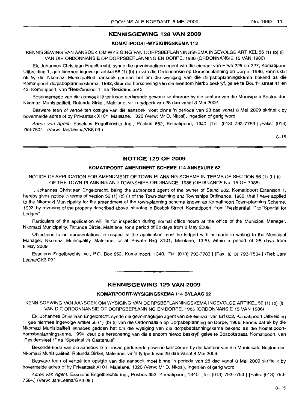#### KENNISGEWING 128 VAN 2009

#### KOMATIPOORT-WYSIGINGSKEMA 113

KENNISGEWING VAN AANSOEK OM WYSIGING VAN DORPSBEPLANNINGSKEMA INGEVOLGE ARTIKEL 56 (1) (b) (i) VAN DIE ORDONNANSIE OP DORPSBEPLANNING EN DORPE, 1986 (ORDONNANSIE 15 VAN 1986)

Ek, Johannes Christiaan Engelbrecht, synde die gevolmagtigde agent van die eienaar van Erwe 225 en 227, Komatipoort Uitbreiding 1, gee hiermee ingevolge artikel 56 (1) (b) (i) van die Ordonnansie op Dorpsbeplanning en Dorpe, 1986, kennis dat ek by die Nkomazi Munisipaliteit aansoek gedoen het om die wysiging van die dorpsbeplanningskema bekend as die Komatipoort-dorpsbeplanningskema, 1992, deur die hersonering van die eiendom hierbo beskryf, gelee te Bourhillstraat 41 en 43, Komatipoort, van "Residensieel 1" na "Residensieel 3".

Besonderhede van die aansoek lê ter insae gedurende gewone kantoorure by die kantoor van die Munisipale Bestuurder, Nkomazi Munisipaliteit, Rotunda Sirkel, Malelane, vir 'n tydperk van 28 dae vanaf 8 Mei 2009.

Besware teen of vertoe ten opsigte van die aansoek moet binne 'n periode van 28 dae vanaf 8 Mei 2009 skriftelik by bovermelde adres of by Privaatsak X101, Malelane, 1320 (Verw: Mr D. Nkosi), ingedien of gerig word.

Adres van Agent: Esselens Engelbrechts Ing., Posbus 652, Komatipoort, 1340. [Tel: (013) 793-7783.] [Faks: (013) 793-7504.] (Verw: Jan/Leana/VK8.09.)

8-15

#### NOTICE 129 OF 2009

#### KOMATIPOORT AMENDMENT SCHEME 114 ANNEXURE 62

NOTICE OF APPLICATION FOR AMENDMENT OF TOWN-PLANNING SCHEME IN TERMS OF SECTION 56 (1) (b) (i) OF THE TOWN-PLANNING AND TOWNSHIPS ORDINANCE, 1986 (ORDINANCE No. 15 OF 1986)

I, Johannes Christiaan Engelbrecht, being the authorized agent of the owner of Stand 602, Komatipoort Extension 1, hereby gives notice in terms of section 56 (1) (b) (i) of the Town-planning and Townships Ordinance, 1986, that I have applied to the Nkomazi Municipality for the amendment of the town-planning scheme known as Komatipoort Town-planning Scheme, 1992, by rezoning of the property described above, situated in Bosbok Street, Komatipoort, from "Residential 1" to "Special for Lodges".

Particulars of the application will lie for inspection during normal office hours at the office of the Municipal Manager, Nkomazi Municipality, Rotunda Circle, Malelane, for a period of 28 days from 8 May 2009.

Objections to or representations in respect of the application must be lodged with or made in writing to the Municipal Manager, Nkornazi Municipality, Malelane, or at Private Bag X101, Malelane, 1320, within a period of 28 days from 8 May 2009,

Esselens Engelbrechts Inc., P.O. Box 652, Komatipoort, 1340. [Tel: (013) 793-7783.] [Fax: (013) 793-7504.] (Ref: Jan/ Leana/GK3.09.)

#### KENNISGEWING 129 VAN 2009

#### KOMATIPOORT-WYSIGINGSKEMA '114 BYLAAG 62

KENNISGEWING VAN AANSOEK OM WYSIGING VAN DORPSBEPLANNINGSKEMA INGEVOLGE ARTIKEL 56 (1) (b) (i) VAN DIE ORDONNANSIE OP DORPSBEPLANNING EN DORPE, 1986 (ORDONNANSIE 15 VAN 1986)

Ek, Johannes Christiaan Engelbrecht, synde die gevolmagtigde agent van die eienaar van Erf 602, Komatipoort Uitbreiding 1, gee hiermee ingevolge artikel 56 (1) (b) (i) van die Ordonnansie op Dorpsbeplanning en Dorpe, 1986, kennis dat ek by die Nkomazi Munisipalliteil aansoek gedoen het om die wysiging van die dorpsbeplanningskema bekend as die Komatipoortdorpsbeplanningskema, 1992, deur die hersonering van die eiendom hierbo beskryf, gelee te Bosbokstraat, Komatipoort, van "Residensieel 1" na "Spesiaal vir Gastehuis".

Besonderhede van die aansoek lê ter insae gedurende gewone kantoorure by die kantoor van die Munisipale Bestuurder, Nkomazi Munisipaliteit, Rotunda Sirkel, Malelane, vir 'n tydperk van 28 dae vanaf 8 Mei 2009.

Besware teen of vertoe ten opsigte van die aansoek moet binne 'n periode van 28 dae vanaf 8 Mei 2009 skriftelik by bovermelde adres of by Privaatsak X101, Malelane, 1320 (Verw: Mr D. Nkosi), ingedien of gerig word.

Adres van Agent: Esselens Engelbrechts Ing., Posbus 652, Komatipoort, 1340. [Tel: (013) 793-7783.] [Faks: (013) 793-7504.] (Verw: Jan/Leana/GK3.09.)

# **•**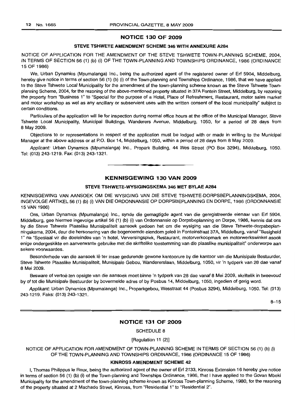#### **NOTICE 130 OF 2009**

#### **STEVE TSHWETE AMENDMENT SCHEME 346 WITH ANNEXURE A284**

NOTICE OF APPLICATION FOR **THE** AMENDMENT OF THE STEVE TSHWETE TOWN-PLANNING SCHEME, 2004, IN TERMS OF SECTION 56 (1) (b) (i) OF THE TOWN-PLANNING AND TOWNSHIPS ORDINANCE, 1986 (ORDINANCE 15 OF 1986)

We, Urban Dynamics (Mpumalanga) Inc., being the authorized agent of the registered owner of Erf 5904, Middelburg, hereby give notice in terms of section 56 (1) (b) (i) of the Town-planning and Townships Ordinance, 1986, that we have applied to the Steve Tshwete Local Municipality for the amendment of the town-planning scheme known as the Steve Tshwete Townplanning Scheme, 2004, for the rezoning of the above-mentioned property situated in 37A Fontein Street, Middelburg, by rezoning the property from "Business 1" to "Special for the purpose of a Hotel, Place of Refreshment, Restaurant, motor sales market and motor workshop as wei as any ancillary or subservient uses with the written consent of the local municipality" subject to certain conditions.

Particulars of the application will lie for inspection during normal office hours at the office of the Municipal Manager, Steve Tshwete Local Municipality, Municipal Buildings, Wanderers Avenue, Middelburg, 1050, for a period of 28 days from 8 May 2009.

Objections to or representations in respect of the application must be lodged with or made in writing to the Municipal Manager at the above address or at P.O. Box 14, Middelburg, 1050, within a period of 28 days from 8 May 2009.

Applicant: Urban Dynamics (Mpumalanga) Inc., Propark Building, 44 Wes Street (PO Box 3294), Middelburg, 1050. Tel: (013) 243-1219. Fax: (013) 243-1321. .**- .**

**KENNISGEWING 130 VAN 2009**

#### **STEVE TSHWE"rE-WYSIGINGSKEMA 346 MET BYLAE A284**

KENNISGEWING VAN MNSOEK OM DIE WYSIGING VAN DIE STEVE TSHWETE-DORPSBEPLANNINGSKEMA, 2004, INGEVOLGE ARTIKEL 56 (1) (b) (i) VAN DIE ORDONNANSIE OP DORPSBEPLANNING EN DORPE, 1986 (ORDONNANSIE 15 VAN 1986)

Ons, Urban Dynamics (Mpumalanga) Inc., synde die gemagtigde agent van die geregistreerde eienaar van Erf 5904, Middelburg, gee hiermee ingevolge artikel 56 (1) (b) (i) van Ordonnansie op Dorpsbeplanning en Dorpe, 1986, kennis dat ons by die Steve Tshwete Plaaslike Munisipaliteit aansoek gedoen het om die wysiging van die Steve Tshwete-dorpsbeplanningskema, 2004, deur die hersonering van die bogenoemde eiendom gelee in Fonteinstraat 37A, Middelburg, vanaf "Besigheid 1" na "Spesiaal vir die doeleindes van 'n hotel, Verversingsplek, Restaurant, motorverkoopmark en motorwerkswinkel asook enige ondergeskikte en aanverwante gebruike met die skriftelike toestemming van die plaaslike munisipaliteit" onderworpe aan sekere voorwaardes.

Besonderhede van die aansoek lê ter insae gedurende gewone kantoorure by die kantoor van die Munisipale Bestuurder, Steve Tshwete Plaaslike Munisipaliteit, Munisipale Gebou, Wandererslaan, Middelburg, 1050, vir 'n tydperk van 28 dae vanaf 8 Me; 2009.

Besware of vertoë ten opsigte van die aansoek moet binne 'n tydperk van 28 dae vanaf 8 Mei 2009, skriftelik in tweevoud by of tot die Munisipale Bestuurder by bovermelde adres of by Posbus 14, Middelburg, 1050, ingedien of gerig word.

Applikant: Urban Dynamics (Mpumalanga) Inc., Proparkgebou, Wesstraat 44 (Posbus 3294), Middelburg, 1050. Tel: (013) 243-1219. Faks: (013) 243-1321.

8-15

#### **NOTICE 131 OF 2009**

SCHEDULE 8

[Regulation 11 (2)]

NOTICE OF APPLICATION FOR AMENDMENT OF TOWN-PLANNING SCHEME IN TERMS OF SECTION 56 (1) (b) (i) OF THE TOWN-PLANNING AND TOWNSHIPS ORDINANCE, 1986 (ORDINANCE 15 OF 1986)

#### **KINROSS AMENDMENT SCHEME 42**

I, Thomas Philippus Ie Roux, being the authorized agent of the owner of Erf 2133, Kinross Extension 16 hereby give *notice* in terms of section 56 (1) (b) (i) of the Town-planning and Townships Ordinance, 1986, that I have applied to the Govan Mbeki Municipality for the amendment of the town-planning scheme known as Kinross Town-planning Scheme, 1980, for the rezoning of the property situated at 2 Machado Street, Kinross, from "Residential 1" to "Residential 2".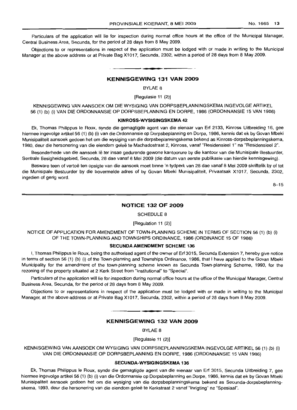Particulars of the application will lie for inspection during normal office hours at the office of the Municipal Manager, Central Business Area, Secunda, for the period of 28 days from 8 May 2009.

Objections to or representations in respect of the application must be lodged with or made in writing to the Municipal Manager at the above address or at Private Bag X1017, Secunda, 2302, within a period of 28 days from 8 May 2009.

#### KENNISGEWING 131 VAN 2009

**•**

BYLAE 8

[Regulasie 11 (2)]

KENNISGEWING VAN AANSOEK OM DIE WYSIGING VAN DORPSBEPLANNINGSKEMA INGEVOLGE ARTIKEL 56 (1) (b) (i) VAN DIE ORDONNANSIE OP DORPSBEPLANNING EN DORPE, 1986 (ORDONNANSIE 15 VAN 1986)

#### KINROSS·WYSIGINGSKEMA 42

Ek, Thomas Philippus Ie Roux, synde die gemagtigde agent van die eienaar van Erf 2133, Kinross Uitbreiding 16, gee hiermee ingevolge artikel 56 (1) (b) (i) van die Ordonnansie op Dorpsbeplanning en Dorpe, 1986, kennis dat ek by Govan Mbeki Munisipaliteit aansoek gedoen het om die wysiging van die dorpsbeplanningskema bekend as Kinross-dorpsbeplanningskema, 1980, deur die hersonering van die eiendom gelee te Machadostraat 2, Kinross, vanaf "Residensieel 1" na "Residensieel 2".

Besonderhede van die aansoek lê ter insae gedurende gewone kantoorure by die kantoor van die Munisipale Bestuurder, Sentrale Besigheidsgebied, Secunda, 28 dae vanaf 8 Mei 2009 (die datum van eerste publikasie van hierdie kennisgewing).

Besware teen of vertoë ten opsigte van die aansoek moet binne 'n tydperk van 28 dae vanaf 8 Mei 2009 skriftelik by of tot die Munisipale Bestuurder by die bovermelde adres of by Govan Mbeki Munisipaliteit, Privaatsak X1017, Secunda, 2302, ingedien of gerig word.

 $8 - 15$ 

#### NOTICE 132 OF 2009

SCHEDULE 8

#### [Regulation 11 (2)]

NOTICE OF APPLICATION FOR AMENDMENT OF TOWN-PLANNING SCHEME IN TERMS OF SECTION 56 (1) (b) (i) OF THE TOWN-PLANNING AND TOWNSHIPS ORDINANCE, 1986 (ORDINANCE 15 OF 1986)

#### SECUNDA AMENDMENT SCHEME 136

I, Thomas Philippus Ie Roux, being the authorised agent of the owner of Erf 3015, Secunda Extension 7, hereby give notice in terms of section 56 (1) (b) (i) of the Town-planning and Townships Ordinance, 1986, that I have applied to the Govan Mbeki Municipality for the amendment of the town-planning scheme known as Secunda Town-planning Scheme, 1993, for the rezoning of the property situated at 2 Kerk Street from "Institutional" to "Special".

Particulars of the application will lie for inspection during normal office hours at the office of the Municipal Manager, Central Business Area, Secunda, for the period of 28 days from 8 May 2009.

Objections to or representations in respect of the application must be lodged with or made in writing to the Municipal Manager, at the above address or at Private Bag X1017, Secunda, 2302, within a period of 28 days from 8 May 2009.

#### KENNISGEWING 132 VAN 2009

**• •**

BYLAE 8

[Regulasie 11 (2)]

KENNISGEWING VAN AANSOEK OM WYSIGING VAN DORPSBEPLANNINGSKEMA INGEVOLGE ARTIKEL 56 (1) (b) (i) VAN DIE ORDONNANSIE OP DORPSBEPLANNING EN DORPE, 1986 (ORDONNANSIE 15 VAN 1986)

#### SECUNDA-WYSIGINGSKEMA 136

Ek, Thomas Philippus Ie Roux, synde die gemagtigde agent van die eienaar van Erf 3015, Secunda Uitbreiding 7, gee hiermee ingevolge artikel 56 (1) (b) (i) van die Ordonnansie op Dorpsbeplanning en Dorpe, 1986, kennis dat ek by Govan Mbeki Munisipaliteit aansoek gedoen het om die wysiging van die dorpsbeplanningskema bekend as Secunda-dorpsbeplanningskema, 1993, deur die hersonering van die eiendom gelee te Kerkstraat 2 vanaf "Inrigting" na "Spesiaal".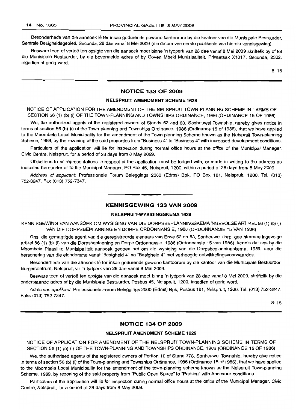Besonderhede van die aansoek Ie ter insae gedurende gewone kantoorure by die kantoor van die Munisipale Bestuurder, Sentrale Besigheidsgebied, Secunda, 28 dae vanaf 8 Mei 2009 (die datum van eerste publlkasie van hierdie kennisgewing).

Besware teen of vertoë ten opsigte van die aansoek moet binne 'n tydperk van 28 dae vanaf 8 Mei 2009 skriftelik by of tot die Munisipale Bestuurder, by die bovermelde adres of by Goven Mbeki Munisipaliteit, Privaatsak X1017, Secunda, 2302, ingedien of gerig word.

8-15

#### NOTICE 133 OF 2009

#### NELSPRUIT AMENDMENT SCHEME 1628

NOTICE OF APPLICATION FOR THE AMENDMENT OF THE NELSPRUIT TOWN-PLANNING SCHEME IN TERMS OF SECTION 56 (1) (b) (i) OF THE TOWN-PLANNING AND TOWNSHIPS ORDINANCE, 1986 (ORDINANCE 15 OF 1986)

We, the authorized agents of the registered owners of Stands 62 and 63, Sonheuwel Township, hereby gives notice in terms of section 56 (b) (i) of the Town-planning and Townships Ordinance, 1986 (Ordinance 15 of 1986), that we have applied to the Mbombela Local Municipality for the amendment of the Town-planning Scheme known as the Nelspruit Town-planning Scheme, 1989, by the rezoning of the said properties from "Business 4" to "Business 4" with increased development conditions.

Particulars of the application will lie for inspection during normal office hours at the office of the Municipal Manager, Civic Centre, Nelspruit, for a period of 28 days from 8 May 2009.

Objections to or representations in respect of the application must be lodged with, or made in writing to the address as indicated hereunder or to the Municipal Manager, PO Box 45, Nelspruit, 1200, within a period of 28 days from 8 May 2009.

Address of applicant: Professionele Forum Beleggings 2000 (Edms) Bpk, PO Box 181, Nelspruit, 1200. Tel. (013) 752-3247. Fax (013) 752-7347. .**-.**

#### KENNISGEWING 133 VAN 2009

#### NELSPRUIT-WYSIGINGSKEMA 1628

KENNISGEWING VAN AANSOEK OM WYSIGING VAN DIE DORPSBEPLANNINGSKEMA INGEVOLGE ARTIKEL 56 (1) (b) (i) VAN DIE DORPSBEPLANNING EN DORPE ORDONNANSIE, 1986 (ORDONNANSIE 15 VAN 1986)

Ons, die gemagtigde agent van die geregistreerde eienaars van Erwe 62 en 63, Sonheuwel-dorp, gee hiermee ingevolge artikel56 (1) (b) (i) van die Dorpsbeplanning en Dorpe Ordonnansie, 1986 (Ordonnansie 15 van 1986), kennis dat ons by die Mbombela Plaaslike Munisipaliteit aansoek gedoen het om die wysiging van die Dorpsbeplanningskema, 1989, deur die hersonering van die eiendomme vanaf "Besigheid 4" na "Besigheid 4" met verhoogde ontwikkelingsvoorwaardes.

Besonderhede van die aansoek lê ter insae gedurende gewone kantoorure by die kantoor van die Munisipale Bestuurder, Burgersentrum, Nelspruit, vir 'n tydperk van 28 dae vanaf 8 Mei 2009.

Besware teen of vertoë ten opsigte van die aansoek moet binne 'n tydperk van 28 dae vanaf 8 Mei 2009, skriftelik by die onderstaande adres of by die Munisipale Bestuurder, Posbus 45, Nelspruit, 1200, ingedien of gerig word.

Adres van applikant: Professionele Forum Beleggings 2000 (Edms) Bpk, Posbus 181, Nelspruit, 1200. Tel. (013) 752-3247. Faks (013) 752-7347.

8-15

#### NOTICE 134 OF 2009

#### NELSPRUIT AMENDMENT SCHEME 1629

NOTICE OF APPLICATION FOR AMENDMENT OF THE NELSPRUIT TOWN-PLANNING SCHEME IN TERMS OF SECTION 56 (1) (b) (i) OF THE TOWN-PLANNING AND TOWNSHIPS ORDINANCE, 1986 (ORDINANCE 15 OF 1986)

We, the authorised agents of the registered owners of Portion 10 of Stand 378, Sonheuwel Township, hereby give notice in terms of section 56 (b) (i) of the Town-planning and Townships Ordinance, 1986 (Ordinance 15 of 1986), that we have applied to the Mbombela Local Municipality for the amendment of the town-planning scheme known as the Nelspruit Town-planning Scheme, 1989, by rezoning of the said property from "Public Open Space" to "Parking" with Annexure conditions.

Particulars of the application will lie for inspection during normal office hours at the office of the Municipal Manager, Civic Centre, Nelspruit, for a period of 28 days from 8 May 2009.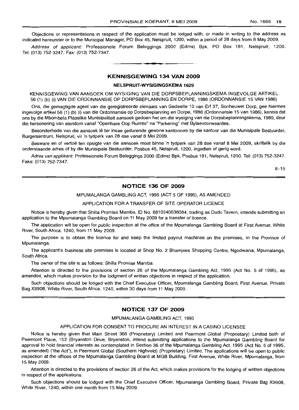Objections or representations in respect of the application must be lodqed with, or made in writing to the address as indicated hereunder or to the Municipal Manager, PO Box 45, Nelspruit, 1200, within a period of 28 days from 8 May 2009.

Address of applicant: Professionele Forum Beleggings 2000 (Edms) Bpk, PO Box 181, Nelspruit, 1200. Tel: (013) 752-3247. Fax: (013) 752-7347.

**I •**

#### **KENNISGEWING 134 VAN 2009**

#### **NELSPRUIT-WYSIGINGSKEMA 1629**

KENNISGEWING VAN AANSOEK OM WYSIGING VAN DIE DORPSBEPLANNINGSKEMA INGEVOLGE ARTIKEL 56 (1) (b) (i) VAN DIE ORDONNANSIE OP DORPSBEPLANNING EN DORPE, 1986 (ORDONNANSIE 15 VAN 1986)

Ons, die gemagtigde agent van die geregistreerde eienaars van Gedeelte 10 van Erf 37, Sonheuwel Dorp, gee hiermee ingevolge artikel 56 (1) (b) (i) van die Ordonnansie op Dorpsbeplanning en Dorpe, 1986 (Ordonnansie 15 van 1986), kennis dat ons by die Mbombela Plaaslike Munisipaliteit aansoek gedoen het om die wysiqinq van die Dorpsbeplanningskema, 1989, deur die hersonering van eiendom vanaf "Openbare Oop Ruimte" na "Parkering" met Bylaevoorwaardes.

Besonderhede van die aansoek lê ter insae gedurende gewone kantoorure by die kantoor van die Munisipale Bestuurder, Burgersentrum, Nelspruit, vir 'n tydperk van 28 dae vanaf 8 Mei 2009.

Besware en of vertoë ten opsigte van die aansoek moet binne 'n tydperk van 28 dae vanaf 8 Mei 2009, skriftelik by die onderstaande adres of by die Munisipale Bestuurder, Posbus 45, Nelspruit, 1200, ingedien of gerig word.

Adres van applikant: Professionele Forum Beleggings 2000 (Edms) Bpk, Posbus 181, Nelspruit, 1200. Tel: (013) 752-3247. Faks: (013) 752-7347.

8-15

#### **NOTICE 136 OF 2009**

MPUMALANGA GAMBLING ACT, 1995 (ACT 5 OF 1995), AS AMENDED

#### APPLICATION FOR A TRANSFER OF SITE OPERATOR LICENCE

Notice is hereby given that Shilla Promise Mamba, 10 No. 8810240638084, trading as Dudu Tavern, intends submitting an application to the Mpumalanga Gambling Board on 11 May 2009 for a transfer of licence.

The application will be open for public inspection at the office of the Mpumalanga Gambling Board at First Avenue, White River, South Africa, 1240, from 11 May 2009.

The purpose is to obtain the licence for and keep the limited payout machines on the premises, in the Province of Mpumalanga.

The applicant's business site premises is located at Shop No. 2 Bhamjees Shopping Centre, Ngodwana, Mpumalanga, South Africa.

The owner of the site is as follows: Shilla Promise Mamba.

Attention is directed to the provisions of section 26 of the Mpumalanga Gambling Act, 1995 (Act No. 5 of 1995), as amended, which makes provision for the lodgment of written objections in respect of the application.

Such objections should be lodged with the Chief Executive Officer, Mpumalanga Gambling Board, First Avenue, Private Bag X9908, White River, South Africa, 1240, within 30 days from 11 May 2009.

#### **NOTICE 137 OF 2009**

#### MPUMALANGA GAMBLING ACT, 1995

#### APPLICATION FOR CONSENT TO PROCURE AN INTEREST IN A CASINO LICENSEE

Notice is hereby given that Main Street 368 (Proprietary) Limited and Peermont Global (Proprietary) Limited both of Peermont Place, 152 (Bryanston Drive, Bryanston, intend submitting applications to the Mpumalanga Gambling Board for approval to hold financial interests as contemplated in Section 36 of the Mpumalanga Gambling Act, 1995 (Act No.5 of 1995, as amended) ("the Act"), in Peermont Global (Southern Highveld) (Proprietary) Limited. The applications will be open to public inspection at the offices of the Mpumalanga Gambling Board at MGB Building, First Avenue, White River, Mpumalanga, from 15 May 2009.

Attention is directed to the provisions of section 26 of the Act, which makes provisions for the lodging of written objections in respect of the applications.

Such objections should be lodged with the Chief Executive Officer, Mpumalanga Gambling Board, Private Bag X9908, White River, 1240, within one month from 15 May 2009.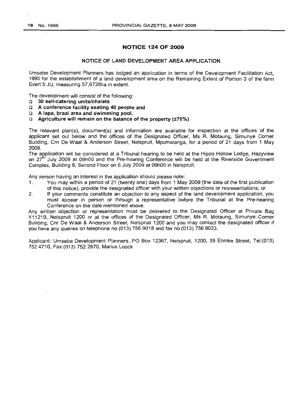#### **NOTICE 124 OF 2009**

#### **NOTICE OF LAND DEVELOPMENT AREA APPLICATION**

Umsebe Development Planners has lodged an application in terms of the Development Facilitation Act, 1995 for the establishment of a land development area on the Remaining Extent of Portion 3 of the farm Evert 5 JU, measuring 57,6728ha in extent.

The development will consist of the following:

- o **30 self-catering units/chalets**
- o **A conference facility seating 40 people and**
- o **A lapa, braai area and swimming pool.**
- o **Agriculture will remain on the balance of the property (±70%)**

The relevant plan(s), document(s) and information are available for inspection at the offices of the applicant set out below and the offices of the Designated Officer, Ms R. Motaung, Simunye Corner Building, Crn De Waal & Anderson Street, Nelspruit, Mpumalanga, for a period of 21 days from 1 May 2009.

The application will be considered at a Tribunal hearing to be held at the Hippo Hollow Lodge, Hazyview on  $27<sup>th</sup>$  July 2009 at 09h00 and the Pre-hearing Conference will be held at the Riverside Government Complex, Building 8, Second Floor on 6 July 2009 at 09hOO in Nelspruit.

Any person having an interest in the application should please note:

- 1. You may within a period of 21 (twenty one) days from 1 May 2009 (the date of the first publication of this notice), provide the designated officer with your written objections or representations; or
- 2. If your comments constitute an objection to any aspect of the land development application, you must appear in person or through a representative before the Tribunal at the Pre-hearing Conference on the date mentioned above.

Any written objection or representation must be delivered to the Designated Officer at Private Bag X11219, Nelspruit 1200 or at the offices of the Designated Officer, Ms R. Motaung, Simunye Corner Building, Cnr De Waal & Anderson Street, Nelspruit 1200 and you may contact the designated officer if you have any queries on telephone no (013) 756 9018 and fax no (013) 756 9023.

Applicant: Umsebe Development Planners, PO Box 12367, Nelspruit, 1200, 39 Ehmke Street, Tel:(013) 7524710, Fax:(013) 752 2970, Marius Loock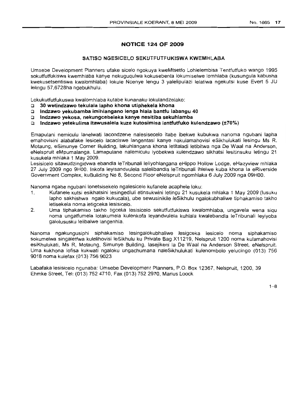### **NOTICE 124 OF 2009**

#### **SATISO NGESICELO SEKUTFUTFUKISWA KWEMHLABA**

Umsebe Development Planners ufake sicelo ngokuya kweMtsetfo Lohlelembisa Tentfutfuko wango 1995 sokutfutfukiswa kwemhlaba kanye nekuguqulwa kokusebenta lokumiselwe lomhlaba (kusungula kabusha kwekusetsentiswa kwalomhlaba) lokule Ncenye lengu 3 yalelipulazi ielatiwa ngekutsi kuse Evert 5 JU lelingu 57,6728ha ngebukhulu.

Lokukutfutfukuswa kwalomhlaba kutabe kunanaku lokulandzelako:

- o **30 wetindzawo tekulala lapho khona utiphekela khona**
- o **Indzawo yekubamba imihlangano lenga hlala bantfu labangu 40**
- c **Indzawo yekosa, nekungcebeleka kanye nesitiba sekuhlamba**
- u **Indzawo yetekulima itawusaJela kuze kutosimisa lentfutfuko kulendzawo (±70%)**

Emapulani nemiculu lanelwati lacondzene nalesisecelo itabe ibekwe kubukwa nanoma ngubani lapha emahovisini alabafake lesicelo lacaciswe langentasi kanye nakulamahovisi eSikhulukati lesingu Ms R. Motaung, eSimunye Corner Building, lakuhlangana khona letitaladi letibitwa nga De Waal na Anderson, eNelspruit eMpumalanga. Lamapulane nalemiculu iyobekwa kulendzawo sikhatsi lesitinsuku letingu 21 kusukela mhlaka 1 May 2009.

Lesisicelo sitawudzingidvwa ebandla leTribunali leliyohlangana eHippo Hollow Lodge, eHazyview mhlaka 27 July 2009 ngo 9HOO. Inkofa leyisandvulela salelibandla leTribunali ihlelwe kuba khona la eRiverside Government Complex, kuBuilding No 8, Second Floor eNelspruit ngomhlaka 6 July 2009 nga 09HOO.

Nanoma ngabe ngubani lonetsisekelo ngalesicelo kufanele acaphele loku:

- 1. Kufanele kutsi esikhatsini lesingedluli etinsukwini letingu 21 kusukela mhlaka 1 May 2009 (Iusuku lapho sakhishwa ngalo kukucala), ube sewusinikile leSikhulu ngalokubhaliwe tiphakamiso takho letisekela noma letigceka lesisicelo.
- 2. Uma tiphakamiso takho tigceka lesisicelo sekutfutfukiswa kwalomhlaba, ungavela wena siqu noma ungatfumela lotakumela kulenkofa leyandvulela kuhlala kwalebandla leTribunali leyiyoba galolususku lelibalwe langenhla.

Nanoma ngakungusiphi siphakamiso lesingalokubhaliwe lesigceka lesicelo noma siphakamiso sokumelwa singaletfwa kulelihovisi leSikhulu ku Private Bag X11219, Nelspruit 1200 noma kulamahovisi esiKhulukati, Ms R, Motaung, Simunye Building, lasejikeni la De Waal na Anderson Street, eNelspruit. Uma kukhona lofisa kukwati ngaloku ungachumana naleSikhulukati kulenombolo yelucingo (013) 756 9018 noma kulefax (013) 756 9023

Labafaka lesisicelo ngunaba: Umsebe Development Planners, P.O. Box 12367, Nelspruit, 1200, 39 Ehmke Street, Tel: (013) 752 4710, Fax (013) 752 2970, Marius Loock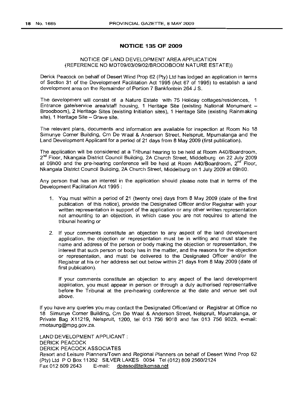#### **NOTICE 135 OF 2009**

#### NOTICE OF LAND DEVELOPMENT AREA APPLICATION (REFERENCE NO MDT09/03/09/02/BROODBOOM NATURE ESTATE))

Derick Peacock on behalf of Desert Wind Prop 62 (Pty) Ltd has lodged an application in terms of Section 31 of the Development Facilitation Act 1995 (Act 67 of 1995) to establish a land development area on the Remainder of Portion 7 Bankfontein 264 J S.

The development will consist of a Nature Estate with 75 Holiday cottages/residences, 1 Entrance gate/service area/staff housing, 1 Heritage Site (existing National Monument  $-$ Broodboom), 2 Heritage Sites (existing Initiation sites), 1 Heritage Site (existing Rainmaking site), 1 Heritage Site - Grave site.

The relevant plans, documents and information are available for inspection at Room No 18 Simunye Corner Building, Crn De Waal & Anderson Street, Nelspruit, Mpumalanga and the Land Development Applicant for a period of 21 days from 8 May 2009 (first publication).

The application will be considered at a Tribunal hearing to be held at Room A40/Boardroom, 2<sup>nd</sup> Floor, Nkangala District Council Building, 2A Church Street, Middelburg on 22 July 2009 at 09h00 and the pre-hearing conference will be held at Room A40/Boardroom, 2<sup>nd</sup> Floor, Nkangala District Council Building, 2A Church Street, Middelburg on 1 July 2009 at 09hOO.

Any person that has an interest in the application should please note that in terms of the Development Facilitation Act 1995 :

- 1. You must within a period of 21 (twenty one) days from 8 May 2009 (date of the first publication of this notice), provide the Designated Officer and/or Registrar with your written representation in support of the application or any other written representation not amounting to an objection, in which case you are not required to attend the tribunal hearing or
- 2. If your comments constitute an objection to any aspect of the land development application, the objection or representation must be in writing and must state the name and address of the person or body making the objection or representation, the interest that such person or body has in the matter, and the reasons for the objection or representation, and must be delivered to the Designated Officer and/or the Registrar at his or her address set out below within 21 days from 8 May 2009 (date of first publication).

If your comments constitute an objection to any aspect of the land development application, you must appear in person or through a duly authorised representative before the Tribunal at the pre-hearing conference at the date and venue set out above.

If you have any queries you may contact the Designated Officer/and or Registrar at Office no 18 Simunye Corner Building, Crn De Waal & Anderson Street, Nelspruit, Mpumalanga, or Private Bag X11219, Nelspruit, 1200, tel 013 756 9018 and fax 013 756 9023, e-mail: rmotaung@mpg.gov.za.

LAND DEVELOPMENT APPLICANT: DERICK PEACOCK DERICK PEACOCK ASSOCIATES Resort and Leisure Planners/Town and Regional Planners on behalf of Desert Wind Prop 62 (Pty) Ltd P O Box 11352 SILVER LAKES 0054 Tel (012) 809 2560/2124<br>Fax 012 809 2643 E-mail: dpasso@telkomsa.net E-mail: dpasso@telkomsa.net